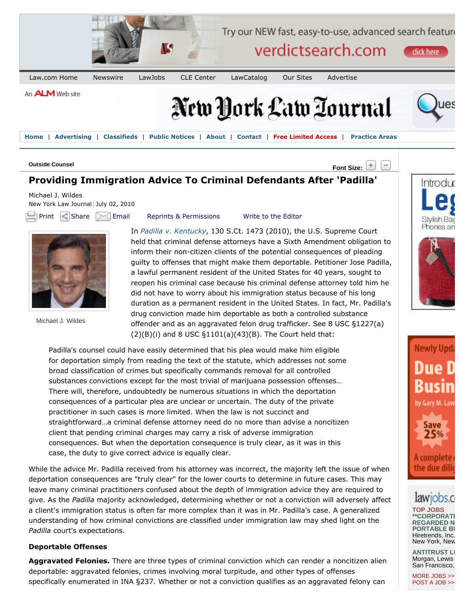

**Home** | **Advertising** | **Classifieds** | **Public Notices** | **About** | **Contact** | **Free Limited Access** | **Practice Areas**

## **Font Size: Outside Counsel**

# **Providing Immigration Advice To Criminal Defendants After 'Padilla'**

Michael J. Wildes New York Law Journal July 02, 2010

 $\Box$  Print  $\Box$  Share  $\Box$  Email Reprints & Permissions Write to the Editor



Michael J. Wildes

In *Padilla v. Kentucky*, 130 S.Ct. 1473 (2010), the U.S. Supreme Court held that criminal defense attorneys have a Sixth Amendment obligation to inform their non-citizen clients of the potential consequences of pleading guilty to offenses that might make them deportable. Petitioner Jose Padilla, a lawful permanent resident of the United States for 40 years, sought to reopen his criminal case because his criminal defense attorney told him he did not have to worry about his immigration status because of his long duration as a permanent resident in the United States. In fact, Mr. Padilla's drug conviction made him deportable as both a controlled substance offender and as an aggravated felon drug trafficker. See 8 USC §1227(a)  $(2)(B)(i)$  and 8 USC  $\S1101(a)(43)(B)$ . The Court held that:

Padilla's counsel could have easily determined that his plea would make him eligible for deportation simply from reading the text of the statute, which addresses not some broad classification of crimes but specifically commands removal for all controlled substances convictions except for the most trivial of marijuana possession offenses… There will, therefore, undoubtedly be numerous situations in which the deportation consequences of a particular plea are unclear or uncertain. The duty of the private practitioner in such cases is more limited. When the law is not succinct and straightforward…a criminal defense attorney need do no more than advise a noncitizen client that pending criminal charges may carry a risk of adverse immigration consequences. But when the deportation consequence is truly clear, as it was in this case, the duty to give correct advice is equally clear.

While the advice Mr. Padilla received from his attorney was incorrect, the majority left the issue of when deportation consequences are "truly clear" for the lower courts to determine in future cases. This may leave many criminal practitioners confused about the depth of immigration advice they are required to give. As the *Padilla* majority acknowledged, determining whether or not a conviction will adversely affect a client's immigration status is often far more complex than it was in Mr. Padilla's case. A generalized understanding of how criminal convictions are classified under immigration law may shed light on the *Padilla* court's expectations.

### **Deportable Offenses**

**Aggravated Felonies.** There are three types of criminal conviction which can render a noncitizen alien deportable: aggravated felonies, crimes involving moral turpitude, and other types of offenses specifically enumerated in INA §237. Whether or not a conviction qualifies as an aggravated felony can







# ODS

**TOP JOBS \*\*CORPORATE PARTNERS WANTED FOR HIGHLY REGARDED N PORTABLE BI** Hiretrends, Inc. New York, New

**ANTITRUST LI** Morgan, Lewis San Francisco,

MORE JOBS >> POST A JOB >>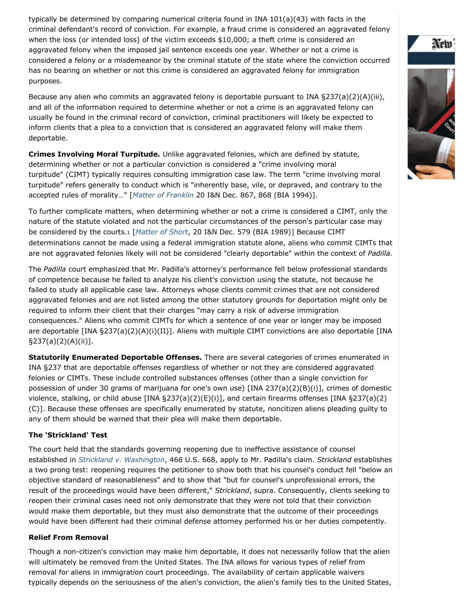typically be determined by comparing numerical criteria found in INA 101(a)(43) with facts in the criminal defendant's record of conviction. For example, a fraud crime is considered an aggravated felony when the loss (or intended loss) of the victim exceeds \$10,000; a theft crime is considered an aggravated felony when the imposed jail sentence exceeds one year. Whether or not a crime is considered a felony or a misdemeanor by the criminal statute of the state where the conviction occurred has no bearing on whether or not this crime is considered an aggravated felony for immigration purposes.

Because any alien who commits an aggravated felony is deportable pursuant to INA §237(a)(2)(A)(iii), and all of the information required to determine whether or not a crime is an aggravated felony can usually be found in the criminal record of conviction, criminal practitioners will likely be expected to inform clients that a plea to a conviction that is considered an aggravated felony will make them deportable.

**Crimes Involving Moral Turpitude.** Unlike aggravated felonies, which are defined by statute, determining whether or not a particular conviction is considered a "crime involving moral turpitude" (CIMT) typically requires consulting immigration case law. The term "crime involving moral turpitude" refers generally to conduct which is "inherently base, vile, or depraved, and contrary to the accepted rules of morality…" [*Matter of Franklin* 20 I&N Dec. 867, 868 (BIA 1994)].

To further complicate matters, when determining whether or not a crime is considered a CIMT, only the nature of the statute violated and not the particular circumstances of the person's particular case may be considered by the courts.<sup>1</sup> [*Matter of Short*, 20 I&N Dec. 579 (BIA 1989)] Because CIMT determinations cannot be made using a federal immigration statute alone, aliens who commit CIMTs that are not aggravated felonies likely will not be considered "clearly deportable" within the context of *Padilla.*

The *Padilla* court emphasized that Mr. Padilla's attorney's performance fell below professional standards of competence because he failed to analyze his client's conviction using the statute, not because he failed to study all applicable case law. Attorneys whose clients commit crimes that are not considered aggravated felonies and are not listed among the other statutory grounds for deportation might only be required to inform their client that their charges "may carry a risk of adverse immigration consequences." Aliens who commit CIMTs for which a sentence of one year or longer may be imposed are deportable [INA §237(a)(2)(A)(i)(II)]. Aliens with multiple CIMT convictions are also deportable [INA §237(a)(2)(A)(ii)].

**Statutorily Enumerated Deportable Offenses.** There are several categories of crimes enumerated in INA §237 that are deportable offenses regardless of whether or not they are considered aggravated felonies or CIMTs. These include controlled substances offenses (other than a single conviction for possession of under 30 grams of marijuana for one's own use) [INA 237(a)(2)(B)(i)], crimes of domestic violence, stalking, or child abuse [INA §237(a)(2)(E)(i)], and certain firearms offenses [INA §237(a)(2) (C)]. Because these offenses are specifically enumerated by statute, noncitizen aliens pleading guilty to any of them should be warned that their plea will make them deportable.

### **The 'Strickland' Test**

The court held that the standards governing reopening due to ineffective assistance of counsel established in *Strickland v. Washington*, 466 U.S. 668, apply to Mr. Padilla's claim. *Strickland* establishes a two prong test: reopening requires the petitioner to show both that his counsel's conduct fell "below an objective standard of reasonableness" and to show that "but for counsel's unprofessional errors, the result of the proceedings would have been different," *Strickland*, supra. Consequently, clients seeking to reopen their criminal cases need not only demonstrate that they were not told that their conviction would make them deportable, but they must also demonstrate that the outcome of their proceedings would have been different had their criminal defense attorney performed his or her duties competently.

### **Relief From Removal**

Though a non-citizen's conviction may make him deportable, it does not necessarily follow that the alien will ultimately be removed from the United States. The INA allows for various types of relief from removal for aliens in immigration court proceedings. The availability of certain applicable waivers typically depends on the seriousness of the alien's conviction, the alien's family ties to the United States,